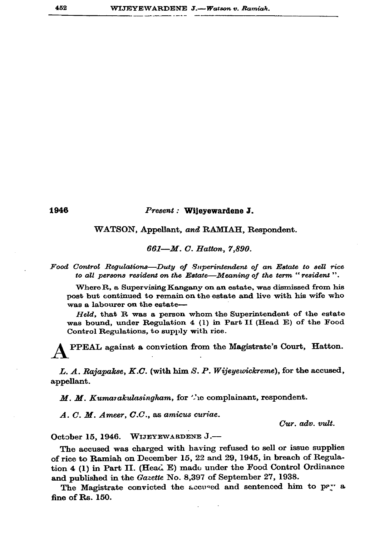1946

## Present : Wijeyewardene J.

WATSON, Appellant, and RAMIAH, Respondent.

661-M. C. Hatton, 7,890.

Food Control Regulations-Duty of Superintendent of an Estate to sell rice to all persons resident on the Estate—Meaning of the term "resident".

Where R, a Supervising Kangany on an estate, was dismissed from his post but continued to remain on the estate and live with his wife who was a labourer on the estate-

Held, that R was a person whom the Superintendent of the estate was bound, under Regulation 4 (1) in Part II (Head E) of the Food Control Regulations, to supply with rice.

PPEAL against a conviction from the Magistrate's Court, Hatton.

L. A. Rajapakse, K.C. (with him S. P. Wijeyewickreme), for the accused, appellant.

M. M. Kumarakulasingham, for "le complainant, respondent.

 $A. C. M.$  Ameer,  $C.C.$ , as amicus curiae.

Cur. adv. vult.

October 15, 1946. WIJEYEWARDENE J.-

The accused was charged with having refused to sell or issue supplies of rice to Ramiah on December 15, 22 and 29, 1945, in breach of Regulation 4 (1) in Part II. (Head E) made under the Food Control Ordinance and published in the Gazette No. 8,397 of September 27, 1938.

The Magistrate convicted the accused and sentenced him to pay a fine of Rs. 150.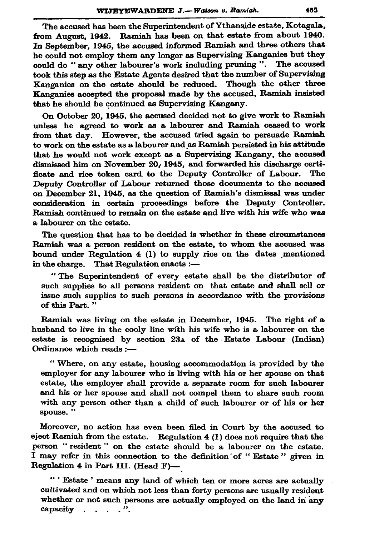The accused has been the Superintendent of Ythanside estate, Kotagala. from August, 1942. Ramiah has been on that estate from about 1940. In September, 1945, the accused informed Ramiah and three others that he could not employ them any longer as Supervising Kanganies but they could do "any other labourer's work including pruning". The accused took this step as the Estate Agents desired that the number of Supervising Kanganies on the estate should be reduced. Though the other three Kanganies accepted the proposal made by the accused, Ramiah insisted that he should be continued as Supervising Kangany.

On October 20, 1945, the accused decided not to give work to Ramiah unless he agreed to work as a labourer and Ramiah ceased to work from that day. However, the accused tried again to persuade Ramiah to work on the estate as a labourer and as Ramiah persisted in his attitude that he would not work except as a Supervising Kangany, the accused dismissed him on November 20, 1945, and forwarded his discharge certificate and rice token card to the Deputy Controller of Labour. The Deputy Controller of Labour returned those documents to the accused on December 21, 1945, as the question of Ramiah's dismissal was under consideration in certain proceedings before the Deputy Controller. Ramiah continued to remain on the estate and live with his wife who was a labourer on the estate.

The question that has to be decided is whether in these circumstances Ramiah was a person resident on the estate, to whom the accused was bound under Regulation 4 (1) to supply rice on the dates mentioned in the charge. That Regulation enacts :-

"The Superintendent of every estate shall be the distributor of such supplies to all persons resident on that estate and shall sell or issue such supplies to such persons in accordance with the provisions of this Part."

Ramiah was living on the estate in December, 1945. The right of a husband to live in the cooly line with his wife who is a labourer on the estate is recognised by section 23A of the Estate Labour (Indian) Ordinance which reads :--

"Where, on any estate, housing accommodation is provided by the employer for any labourer who is living with his or her spouse on that estate, the employer shall provide a separate room for such labourer and his or her spouse and shall not compel them to share such room with any person other than a child of such labourer or of his or her spouse."

Moreover, no action has even been filed in Court by the accused to eject Ramiah from the estate. Regulation  $4(1)$  does not require that the person "resident" on the estate should be a labourer on the estate. I may refer in this connection to the definition of "Estate" given in Regulation 4 in Part III. (Head F)-

"' Estate' means any land of which ten or more acres are actually cultivated and on which not less than forty persons are usually resident whether or not such persons are actually employed on the land in any